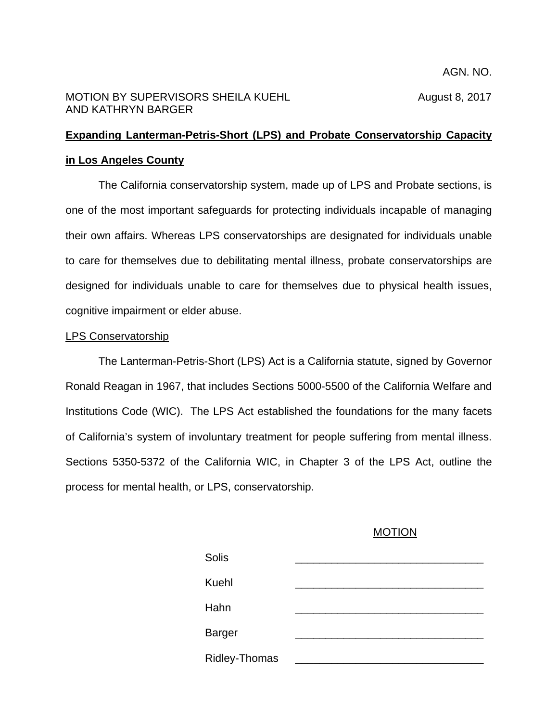## MOTION BY SUPERVISORS SHEILA KUEHL **August 8, 2017** AND KATHRYN BARGER

# **Expanding Lanterman-Petris-Short (LPS) and Probate Conservatorship Capacity in Los Angeles County**

The California conservatorship system, made up of LPS and Probate sections, is one of the most important safeguards for protecting individuals incapable of managing their own affairs. Whereas LPS conservatorships are designated for individuals unable to care for themselves due to debilitating mental illness, probate conservatorships are designed for individuals unable to care for themselves due to physical health issues, cognitive impairment or elder abuse.

## LPS Conservatorship

The Lanterman-Petris-Short (LPS) Act is a California statute, signed by Governor Ronald Reagan in 1967, that includes Sections 5000-5500 of the California Welfare and Institutions Code (WIC). The LPS Act established the foundations for the many facets of California's system of involuntary treatment for people suffering from mental illness. Sections 5350-5372 of the California WIC, in Chapter 3 of the LPS Act, outline the process for mental health, or LPS, conservatorship.

### MOTION

| Solis         |  |
|---------------|--|
| Kuehl         |  |
| Hahn          |  |
| <b>Barger</b> |  |
| Ridley-Thomas |  |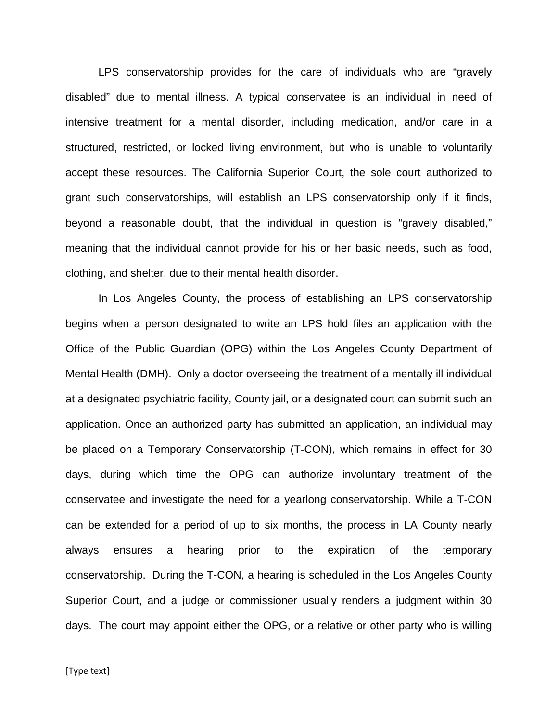LPS conservatorship provides for the care of individuals who are "gravely disabled" due to mental illness. A typical conservatee is an individual in need of intensive treatment for a mental disorder, including medication, and/or care in a structured, restricted, or locked living environment, but who is unable to voluntarily accept these resources. The California Superior Court, the sole court authorized to grant such conservatorships, will establish an LPS conservatorship only if it finds, beyond a reasonable doubt, that the individual in question is "gravely disabled," meaning that the individual cannot provide for his or her basic needs, such as food, clothing, and shelter, due to their mental health disorder.

In Los Angeles County, the process of establishing an LPS conservatorship begins when a person designated to write an LPS hold files an application with the Office of the Public Guardian (OPG) within the Los Angeles County Department of Mental Health (DMH). Only a doctor overseeing the treatment of a mentally ill individual at a designated psychiatric facility, County jail, or a designated court can submit such an application. Once an authorized party has submitted an application, an individual may be placed on a Temporary Conservatorship (T-CON), which remains in effect for 30 days, during which time the OPG can authorize involuntary treatment of the conservatee and investigate the need for a yearlong conservatorship. While a T-CON can be extended for a period of up to six months, the process in LA County nearly always ensures a hearing prior to the expiration of the temporary conservatorship. During the T-CON, a hearing is scheduled in the Los Angeles County Superior Court, and a judge or commissioner usually renders a judgment within 30 days. The court may appoint either the OPG, or a relative or other party who is willing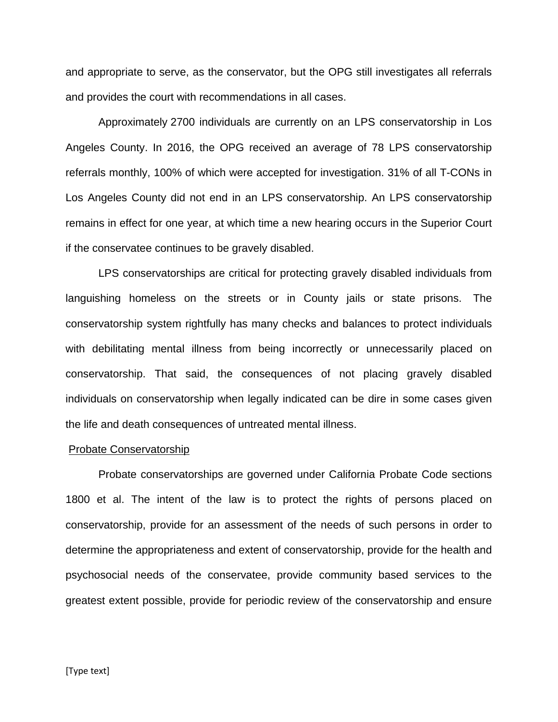and appropriate to serve, as the conservator, but the OPG still investigates all referrals and provides the court with recommendations in all cases.

Approximately 2700 individuals are currently on an LPS conservatorship in Los Angeles County. In 2016, the OPG received an average of 78 LPS conservatorship referrals monthly, 100% of which were accepted for investigation. 31% of all T-CONs in Los Angeles County did not end in an LPS conservatorship. An LPS conservatorship remains in effect for one year, at which time a new hearing occurs in the Superior Court if the conservatee continues to be gravely disabled.

LPS conservatorships are critical for protecting gravely disabled individuals from languishing homeless on the streets or in County jails or state prisons. The conservatorship system rightfully has many checks and balances to protect individuals with debilitating mental illness from being incorrectly or unnecessarily placed on conservatorship. That said, the consequences of not placing gravely disabled individuals on conservatorship when legally indicated can be dire in some cases given the life and death consequences of untreated mental illness.

#### Probate Conservatorship

Probate conservatorships are governed under California Probate Code sections 1800 et al. The intent of the law is to protect the rights of persons placed on conservatorship, provide for an assessment of the needs of such persons in order to determine the appropriateness and extent of conservatorship, provide for the health and psychosocial needs of the conservatee, provide community based services to the greatest extent possible, provide for periodic review of the conservatorship and ensure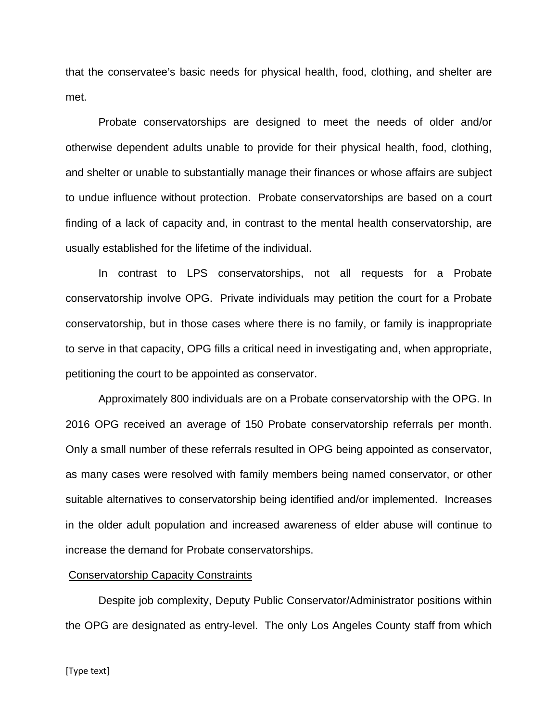that the conservatee's basic needs for physical health, food, clothing, and shelter are met.

Probate conservatorships are designed to meet the needs of older and/or otherwise dependent adults unable to provide for their physical health, food, clothing, and shelter or unable to substantially manage their finances or whose affairs are subject to undue influence without protection. Probate conservatorships are based on a court finding of a lack of capacity and, in contrast to the mental health conservatorship, are usually established for the lifetime of the individual.

In contrast to LPS conservatorships, not all requests for a Probate conservatorship involve OPG. Private individuals may petition the court for a Probate conservatorship, but in those cases where there is no family, or family is inappropriate to serve in that capacity, OPG fills a critical need in investigating and, when appropriate, petitioning the court to be appointed as conservator.

Approximately 800 individuals are on a Probate conservatorship with the OPG. In 2016 OPG received an average of 150 Probate conservatorship referrals per month. Only a small number of these referrals resulted in OPG being appointed as conservator, as many cases were resolved with family members being named conservator, or other suitable alternatives to conservatorship being identified and/or implemented. Increases in the older adult population and increased awareness of elder abuse will continue to increase the demand for Probate conservatorships.

#### Conservatorship Capacity Constraints

Despite job complexity, Deputy Public Conservator/Administrator positions within the OPG are designated as entry-level. The only Los Angeles County staff from which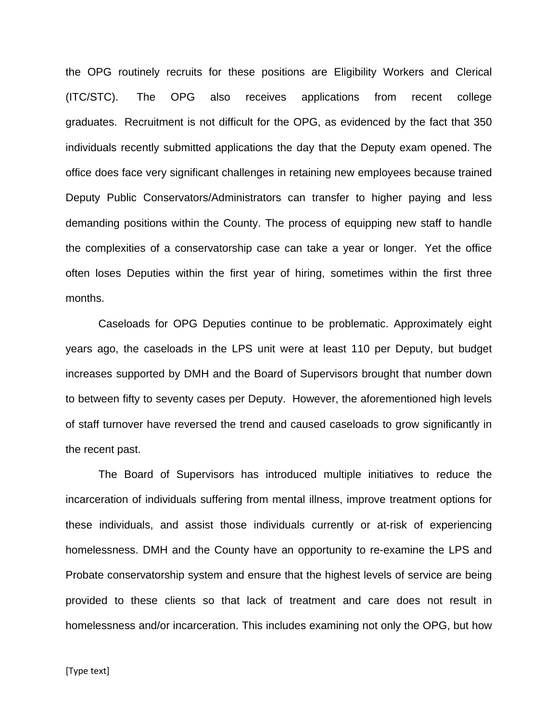the OPG routinely recruits for these positions are Eligibility Workers and Clerical (ITC/STC). The OPG also receives applications from recent college graduates. Recruitment is not difficult for the OPG, as evidenced by the fact that 350 individuals recently submitted applications the day that the Deputy exam opened. The office does face very significant challenges in retaining new employees because trained Deputy Public Conservators/Administrators can transfer to higher paying and less demanding positions within the County. The process of equipping new staff to handle the complexities of a conservatorship case can take a year or longer. Yet the office often loses Deputies within the first year of hiring, sometimes within the first three months.

Caseloads for OPG Deputies continue to be problematic. Approximately eight years ago, the caseloads in the LPS unit were at least 110 per Deputy, but budget increases supported by DMH and the Board of Supervisors brought that number down to between fifty to seventy cases per Deputy. However, the aforementioned high levels of staff turnover have reversed the trend and caused caseloads to grow significantly in the recent past.

The Board of Supervisors has introduced multiple initiatives to reduce the incarceration of individuals suffering from mental illness, improve treatment options for these individuals, and assist those individuals currently or at-risk of experiencing homelessness. DMH and the County have an opportunity to re-examine the LPS and Probate conservatorship system and ensure that the highest levels of service are being provided to these clients so that lack of treatment and care does not result in homelessness and/or incarceration. This includes examining not only the OPG, but how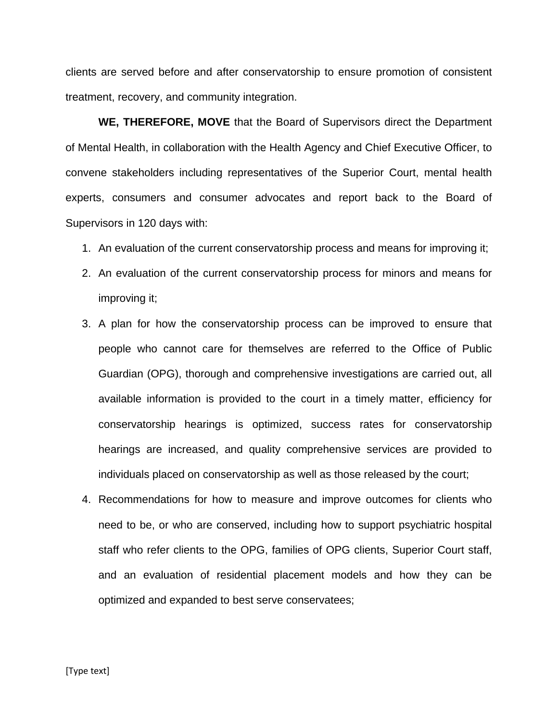clients are served before and after conservatorship to ensure promotion of consistent treatment, recovery, and community integration.

**WE, THEREFORE, MOVE** that the Board of Supervisors direct the Department of Mental Health, in collaboration with the Health Agency and Chief Executive Officer, to convene stakeholders including representatives of the Superior Court, mental health experts, consumers and consumer advocates and report back to the Board of Supervisors in 120 days with:

- 1. An evaluation of the current conservatorship process and means for improving it;
- 2. An evaluation of the current conservatorship process for minors and means for improving it;
- 3. A plan for how the conservatorship process can be improved to ensure that people who cannot care for themselves are referred to the Office of Public Guardian (OPG), thorough and comprehensive investigations are carried out, all available information is provided to the court in a timely matter, efficiency for conservatorship hearings is optimized, success rates for conservatorship hearings are increased, and quality comprehensive services are provided to individuals placed on conservatorship as well as those released by the court;
- 4. Recommendations for how to measure and improve outcomes for clients who need to be, or who are conserved, including how to support psychiatric hospital staff who refer clients to the OPG, families of OPG clients, Superior Court staff, and an evaluation of residential placement models and how they can be optimized and expanded to best serve conservatees;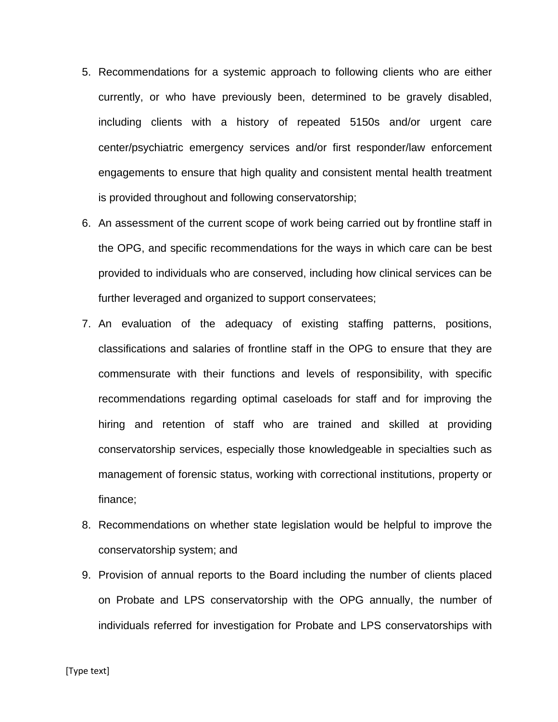- 5. Recommendations for a systemic approach to following clients who are either currently, or who have previously been, determined to be gravely disabled, including clients with a history of repeated 5150s and/or urgent care center/psychiatric emergency services and/or first responder/law enforcement engagements to ensure that high quality and consistent mental health treatment is provided throughout and following conservatorship;
- 6. An assessment of the current scope of work being carried out by frontline staff in the OPG, and specific recommendations for the ways in which care can be best provided to individuals who are conserved, including how clinical services can be further leveraged and organized to support conservatees;
- 7. An evaluation of the adequacy of existing staffing patterns, positions, classifications and salaries of frontline staff in the OPG to ensure that they are commensurate with their functions and levels of responsibility, with specific recommendations regarding optimal caseloads for staff and for improving the hiring and retention of staff who are trained and skilled at providing conservatorship services, especially those knowledgeable in specialties such as management of forensic status, working with correctional institutions, property or finance;
- 8. Recommendations on whether state legislation would be helpful to improve the conservatorship system; and
- 9. Provision of annual reports to the Board including the number of clients placed on Probate and LPS conservatorship with the OPG annually, the number of individuals referred for investigation for Probate and LPS conservatorships with